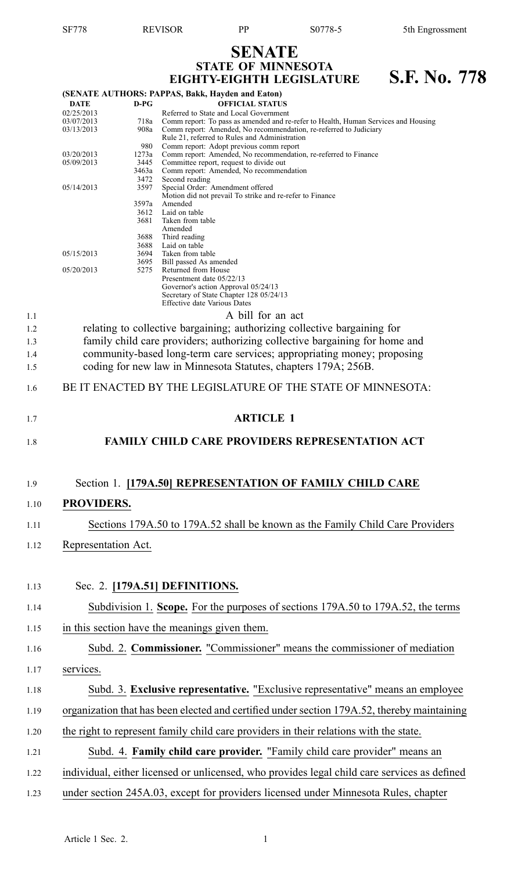## **SENATE STATE OF MINNESOTA**

|                          |                                        |                                                       | EIGHTY-EIGHTH LEGISLATURE                                                                                                                                                                                                                          | S.F. No. 778 |  |  |  |
|--------------------------|----------------------------------------|-------------------------------------------------------|----------------------------------------------------------------------------------------------------------------------------------------------------------------------------------------------------------------------------------------------------|--------------|--|--|--|
|                          | <b>DATE</b>                            | $D-PG$                                                | (SENATE AUTHORS: PAPPAS, Bakk, Hayden and Eaton)<br><b>OFFICIAL STATUS</b>                                                                                                                                                                         |              |  |  |  |
|                          | 02/25/2013<br>03/07/2013<br>03/13/2013 | 718a<br>908a                                          | Referred to State and Local Government<br>Comm report: To pass as amended and re-refer to Health, Human Services and Housing<br>Comm report: Amended, No recommendation, re-referred to Judiciary<br>Rule 21, referred to Rules and Administration |              |  |  |  |
|                          | 03/20/2013<br>05/09/2013               | 980<br>1273a<br>3445<br>3463a                         | Comm report: Adopt previous comm report<br>Comm report: Amended, No recommendation, re-referred to Finance<br>Committee report, request to divide out<br>Comm report: Amended, No recommendation                                                   |              |  |  |  |
|                          | 05/14/2013                             | 3472<br>3597<br>3597a<br>3612<br>3681                 | Second reading<br>Special Order: Amendment offered<br>Motion did not prevail To strike and re-refer to Finance<br>Amended<br>Laid on table<br>Taken from table<br>Amended                                                                          |              |  |  |  |
|                          | 05/15/2013                             | 3688<br>3688<br>3694<br>3695                          | Third reading<br>Laid on table<br>Taken from table<br>Bill passed As amended                                                                                                                                                                       |              |  |  |  |
|                          | 05/20/2013                             | 5275                                                  | Returned from House<br>Presentment date 05/22/13<br>Governor's action Approval 05/24/13<br>Secretary of State Chapter 128 05/24/13<br><b>Effective date Various Dates</b>                                                                          |              |  |  |  |
| 1.1                      |                                        |                                                       | A bill for an act<br>relating to collective bargaining; authorizing collective bargaining for                                                                                                                                                      |              |  |  |  |
| 1.2<br>1.3<br>1.4<br>1.5 |                                        |                                                       | family child care providers; authorizing collective bargaining for home and<br>community-based long-term care services; appropriating money; proposing<br>coding for new law in Minnesota Statutes, chapters 179A; 256B.                           |              |  |  |  |
| 1.6                      |                                        |                                                       | BE IT ENACTED BY THE LEGISLATURE OF THE STATE OF MINNESOTA:                                                                                                                                                                                        |              |  |  |  |
| 1.7                      |                                        | <b>ARTICLE 1</b>                                      |                                                                                                                                                                                                                                                    |              |  |  |  |
| 1.8                      |                                        | <b>FAMILY CHILD CARE PROVIDERS REPRESENTATION ACT</b> |                                                                                                                                                                                                                                                    |              |  |  |  |
| 1.9                      |                                        |                                                       | Section 1. [179A.50] REPRESENTATION OF FAMILY CHILD CARE                                                                                                                                                                                           |              |  |  |  |
| 1.10                     | PROVIDERS.                             |                                                       |                                                                                                                                                                                                                                                    |              |  |  |  |
| 1.11                     |                                        |                                                       | Sections 179A.50 to 179A.52 shall be known as the Family Child Care Providers                                                                                                                                                                      |              |  |  |  |
| 1.12                     | Representation Act.                    |                                                       |                                                                                                                                                                                                                                                    |              |  |  |  |
| 1.13                     |                                        |                                                       | Sec. 2. [179A.51] DEFINITIONS.                                                                                                                                                                                                                     |              |  |  |  |
| 1.14                     |                                        |                                                       | Subdivision 1. Scope. For the purposes of sections 179A.50 to 179A.52, the terms                                                                                                                                                                   |              |  |  |  |
| 1.15                     |                                        |                                                       | in this section have the meanings given them.                                                                                                                                                                                                      |              |  |  |  |
| 1.16                     |                                        |                                                       | Subd. 2. Commissioner. "Commissioner" means the commissioner of mediation                                                                                                                                                                          |              |  |  |  |
| 1.17                     | services.                              |                                                       |                                                                                                                                                                                                                                                    |              |  |  |  |
| 1.18                     |                                        |                                                       | Subd. 3. Exclusive representative. "Exclusive representative" means an employee                                                                                                                                                                    |              |  |  |  |
| 1.19                     |                                        |                                                       | organization that has been elected and certified under section 179A.52, thereby maintaining                                                                                                                                                        |              |  |  |  |
| 1.20                     |                                        |                                                       | the right to represent family child care providers in their relations with the state.                                                                                                                                                              |              |  |  |  |
| 1.21                     |                                        |                                                       | Subd. 4. Family child care provider. "Family child care provider" means an                                                                                                                                                                         |              |  |  |  |
| 1.22                     |                                        |                                                       | individual, either licensed or unlicensed, who provides legal child care services as defined                                                                                                                                                       |              |  |  |  |
| 1.23                     |                                        |                                                       | under section 245A.03, except for providers licensed under Minnesota Rules, chapter                                                                                                                                                                |              |  |  |  |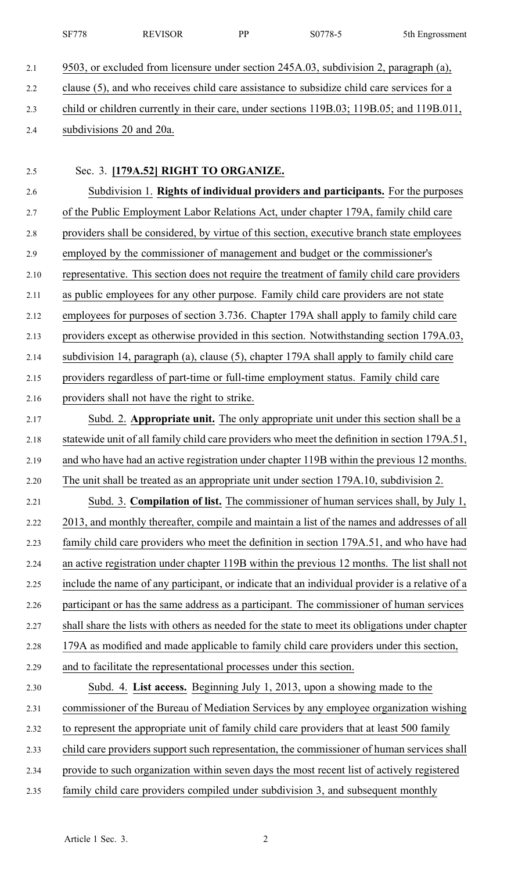|      | <b>SF778</b>             | <b>REVISOR</b>                                                       | PP | S0778-5                                                                                         | 5th Engrossment |
|------|--------------------------|----------------------------------------------------------------------|----|-------------------------------------------------------------------------------------------------|-----------------|
| 2.1  |                          |                                                                      |    | 9503, or excluded from licensure under section 245A.03, subdivision 2, paragraph (a),           |                 |
| 2.2  |                          |                                                                      |    | clause (5), and who receives child care assistance to subsidize child care services for a       |                 |
| 2.3  |                          |                                                                      |    | child or children currently in their care, under sections 119B.03; 119B.05; and 119B.011,       |                 |
| 2.4  | subdivisions 20 and 20a. |                                                                      |    |                                                                                                 |                 |
| 2.5  |                          | Sec. 3. [179A.52] RIGHT TO ORGANIZE.                                 |    |                                                                                                 |                 |
| 2.6  |                          |                                                                      |    | Subdivision 1. Rights of individual providers and participants. For the purposes                |                 |
| 2.7  |                          |                                                                      |    | of the Public Employment Labor Relations Act, under chapter 179A, family child care             |                 |
| 2.8  |                          |                                                                      |    | providers shall be considered, by virtue of this section, executive branch state employees      |                 |
| 2.9  |                          |                                                                      |    | employed by the commissioner of management and budget or the commissioner's                     |                 |
| 2.10 |                          |                                                                      |    | representative. This section does not require the treatment of family child care providers      |                 |
| 2.11 |                          |                                                                      |    | as public employees for any other purpose. Family child care providers are not state            |                 |
| 2.12 |                          |                                                                      |    | employees for purposes of section 3.736. Chapter 179A shall apply to family child care          |                 |
| 2.13 |                          |                                                                      |    | providers except as otherwise provided in this section. Notwithstanding section 179A.03,        |                 |
| 2.14 |                          |                                                                      |    | subdivision 14, paragraph (a), clause (5), chapter 179A shall apply to family child care        |                 |
| 2.15 |                          |                                                                      |    | providers regardless of part-time or full-time employment status. Family child care             |                 |
| 2.16 |                          | providers shall not have the right to strike.                        |    |                                                                                                 |                 |
| 2.17 |                          |                                                                      |    | Subd. 2. Appropriate unit. The only appropriate unit under this section shall be a              |                 |
| 2.18 |                          |                                                                      |    | statewide unit of all family child care providers who meet the definition in section 179A.51,   |                 |
| 2.19 |                          |                                                                      |    | and who have had an active registration under chapter 119B within the previous 12 months.       |                 |
| 2.20 |                          |                                                                      |    | The unit shall be treated as an appropriate unit under section 179A.10, subdivision 2.          |                 |
| 2.21 |                          |                                                                      |    | Subd. 3. Compilation of list. The commissioner of human services shall, by July 1,              |                 |
| 2.22 |                          |                                                                      |    | 2013, and monthly thereafter, compile and maintain a list of the names and addresses of all     |                 |
| 2.23 |                          |                                                                      |    | family child care providers who meet the definition in section 179A.51, and who have had        |                 |
| 2.24 |                          |                                                                      |    | an active registration under chapter 119B within the previous 12 months. The list shall not     |                 |
| 2.25 |                          |                                                                      |    | include the name of any participant, or indicate that an individual provider is a relative of a |                 |
| 2.26 |                          |                                                                      |    | participant or has the same address as a participant. The commissioner of human services        |                 |
| 2.27 |                          |                                                                      |    | shall share the lists with others as needed for the state to meet its obligations under chapter |                 |
| 2.28 |                          |                                                                      |    | 179A as modified and made applicable to family child care providers under this section,         |                 |
| 2.29 |                          | and to facilitate the representational processes under this section. |    |                                                                                                 |                 |
| 2.30 |                          |                                                                      |    | Subd. 4. List access. Beginning July 1, 2013, upon a showing made to the                        |                 |
| 2.31 |                          |                                                                      |    | commissioner of the Bureau of Mediation Services by any employee organization wishing           |                 |
| 2.32 |                          |                                                                      |    | to represent the appropriate unit of family child care providers that at least 500 family       |                 |
| 2.33 |                          |                                                                      |    | child care providers support such representation, the commissioner of human services shall      |                 |
| 2.34 |                          |                                                                      |    | provide to such organization within seven days the most recent list of actively registered      |                 |

2.35 family child care providers compiled under subdivision 3, and subsequent monthly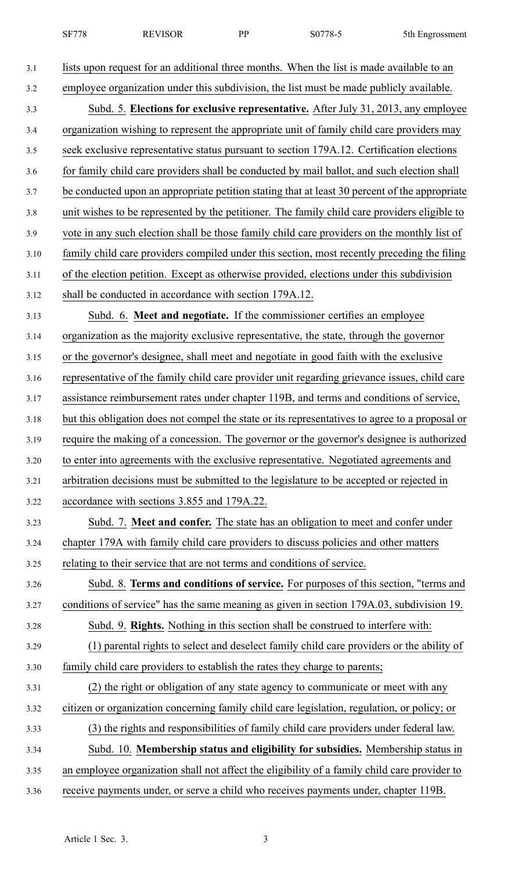| 10770<br><b>SF778</b><br><b>REVISOR</b><br>DD<br>5th Engrossment<br>'×-<br>N. |
|-------------------------------------------------------------------------------|
|-------------------------------------------------------------------------------|

| lists upon request for an additional three months. When the list is made available to an       |
|------------------------------------------------------------------------------------------------|
| employee organization under this subdivision, the list must be made publicly available.        |
| Subd. 5. Elections for exclusive representative. After July 31, 2013, any employee             |
| organization wishing to represent the appropriate unit of family child care providers may      |
| seek exclusive representative status pursuant to section 179A.12. Certification elections      |
| for family child care providers shall be conducted by mail ballot, and such election shall     |
| be conducted upon an appropriate petition stating that at least 30 percent of the appropriate  |
| unit wishes to be represented by the petitioner. The family child care providers eligible to   |
| vote in any such election shall be those family child care providers on the monthly list of    |
| family child care providers compiled under this section, most recently preceding the filing    |
| of the election petition. Except as otherwise provided, elections under this subdivision       |
| shall be conducted in accordance with section 179A.12.                                         |
| Subd. 6. Meet and negotiate. If the commissioner certifies an employee                         |
| organization as the majority exclusive representative, the state, through the governor         |
| or the governor's designee, shall meet and negotiate in good faith with the exclusive          |
| representative of the family child care provider unit regarding grievance issues, child care   |
| assistance reimbursement rates under chapter 119B, and terms and conditions of service,        |
| but this obligation does not compel the state or its representatives to agree to a proposal or |
| require the making of a concession. The governor or the governor's designee is authorized      |
| to enter into agreements with the exclusive representative. Negotiated agreements and          |
| arbitration decisions must be submitted to the legislature to be accepted or rejected in       |
| accordance with sections 3.855 and 179A.22.                                                    |
| Subd. 7. Meet and confer. The state has an obligation to meet and confer under                 |
| chapter 179A with family child care providers to discuss policies and other matters            |
| relating to their service that are not terms and conditions of service.                        |
| Subd. 8. Terms and conditions of service. For purposes of this section, "terms and             |
| conditions of service" has the same meaning as given in section 179A.03, subdivision 19.       |
| Subd. 9. Rights. Nothing in this section shall be construed to interfere with:                 |
| (1) parental rights to select and deselect family child care providers or the ability of       |
| family child care providers to establish the rates they charge to parents;                     |
| (2) the right or obligation of any state agency to communicate or meet with any                |
| citizen or organization concerning family child care legislation, regulation, or policy; or    |
| (3) the rights and responsibilities of family child care providers under federal law.          |
| Subd. 10. Membership status and eligibility for subsidies. Membership status in                |
| an employee organization shall not affect the eligibility of a family child care provider to   |
| receive payments under, or serve a child who receives payments under, chapter 119B.            |
|                                                                                                |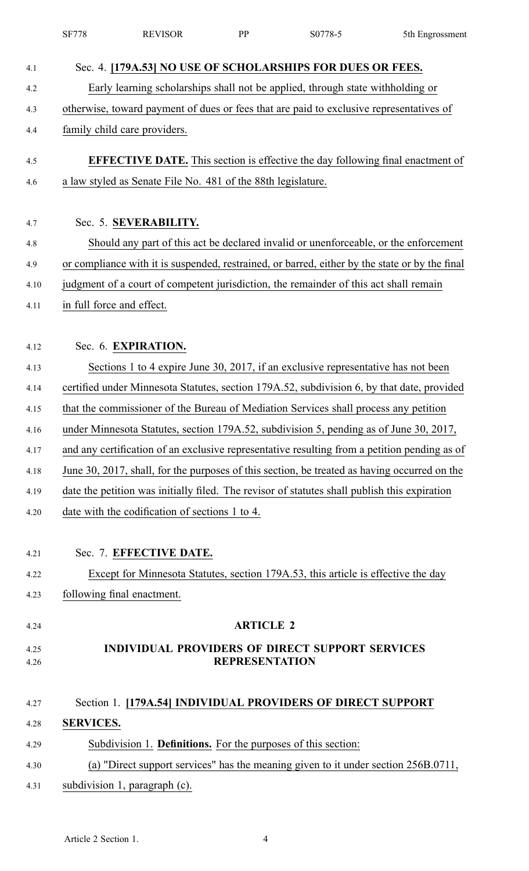|              | <b>SF778</b>     | <b>REVISOR</b>                                                | <b>PP</b>             | S0778-5                                                                                        | 5th Engrossment |
|--------------|------------------|---------------------------------------------------------------|-----------------------|------------------------------------------------------------------------------------------------|-----------------|
| 4.1          |                  |                                                               |                       | Sec. 4. [179A.53] NO USE OF SCHOLARSHIPS FOR DUES OR FEES.                                     |                 |
| 4.2          |                  |                                                               |                       | Early learning scholarships shall not be applied, through state withholding or                 |                 |
| 4.3          |                  |                                                               |                       | otherwise, toward payment of dues or fees that are paid to exclusive representatives of        |                 |
| 4.4          |                  | family child care providers.                                  |                       |                                                                                                |                 |
|              |                  |                                                               |                       |                                                                                                |                 |
| 4.5          |                  |                                                               |                       | <b>EFFECTIVE DATE.</b> This section is effective the day following final enactment of          |                 |
| 4.6          |                  | a law styled as Senate File No. 481 of the 88th legislature.  |                       |                                                                                                |                 |
|              |                  |                                                               |                       |                                                                                                |                 |
| 4.7          |                  | Sec. 5. SEVERABILITY.                                         |                       |                                                                                                |                 |
| 4.8          |                  |                                                               |                       | Should any part of this act be declared invalid or unenforceable, or the enforcement           |                 |
| 4.9          |                  |                                                               |                       | or compliance with it is suspended, restrained, or barred, either by the state or by the final |                 |
| 4.10         |                  |                                                               |                       | judgment of a court of competent jurisdiction, the remainder of this act shall remain          |                 |
| 4.11         |                  | in full force and effect.                                     |                       |                                                                                                |                 |
|              |                  |                                                               |                       |                                                                                                |                 |
| 4.12         |                  | Sec. 6. EXPIRATION.                                           |                       |                                                                                                |                 |
| 4.13         |                  |                                                               |                       | Sections 1 to 4 expire June 30, 2017, if an exclusive representative has not been              |                 |
| 4.14         |                  |                                                               |                       | certified under Minnesota Statutes, section 179A.52, subdivision 6, by that date, provided     |                 |
| 4.15         |                  |                                                               |                       | that the commissioner of the Bureau of Mediation Services shall process any petition           |                 |
| 4.16         |                  |                                                               |                       | under Minnesota Statutes, section 179A.52, subdivision 5, pending as of June 30, 2017,         |                 |
| 4.17         |                  |                                                               |                       | and any certification of an exclusive representative resulting from a petition pending as of   |                 |
| 4.18         |                  |                                                               |                       | June 30, 2017, shall, for the purposes of this section, be treated as having occurred on the   |                 |
| 4.19         |                  |                                                               |                       | date the petition was initially filed. The revisor of statutes shall publish this expiration   |                 |
| 4.20         |                  | date with the codification of sections 1 to 4.                |                       |                                                                                                |                 |
|              |                  |                                                               |                       |                                                                                                |                 |
| 4.21         |                  | Sec. 7. EFFECTIVE DATE.                                       |                       |                                                                                                |                 |
| 4.22         |                  |                                                               |                       | Except for Minnesota Statutes, section 179A.53, this article is effective the day              |                 |
| 4.23         |                  | following final enactment.                                    |                       |                                                                                                |                 |
|              |                  |                                                               | <b>ARTICLE 2</b>      |                                                                                                |                 |
| 4.24         |                  |                                                               |                       |                                                                                                |                 |
| 4.25<br>4.26 |                  |                                                               | <b>REPRESENTATION</b> | <b>INDIVIDUAL PROVIDERS OF DIRECT SUPPORT SERVICES</b>                                         |                 |
|              |                  |                                                               |                       |                                                                                                |                 |
| 4.27         |                  |                                                               |                       | Section 1. [179A.54] INDIVIDUAL PROVIDERS OF DIRECT SUPPORT                                    |                 |
| 4.28         | <b>SERVICES.</b> |                                                               |                       |                                                                                                |                 |
| 4.29         |                  | Subdivision 1. Definitions. For the purposes of this section: |                       |                                                                                                |                 |
| 4.30         |                  |                                                               |                       | (a) "Direct support services" has the meaning given to it under section 256B.0711,             |                 |
| 4.31         |                  | subdivision 1, paragraph (c).                                 |                       |                                                                                                |                 |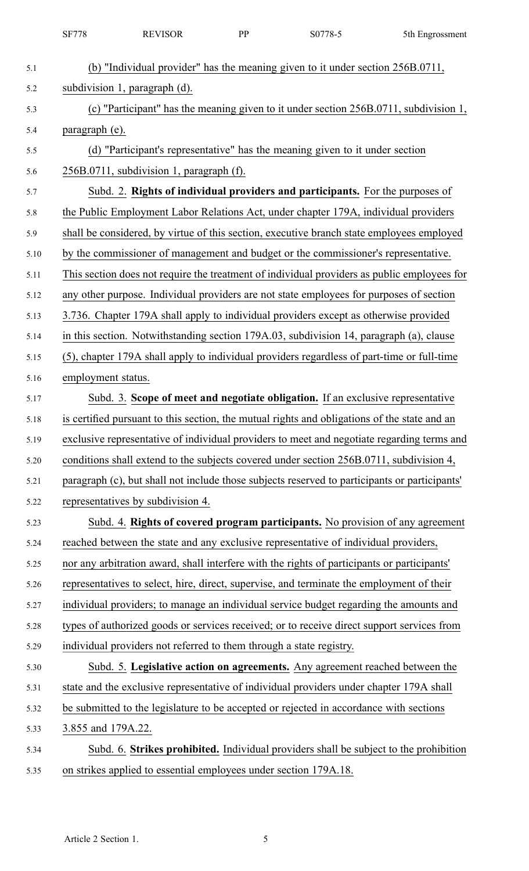|      | <b>SF778</b>                      | <b>REVISOR</b>                                                                                | PP | S0778-5 | 5th Engrossment |
|------|-----------------------------------|-----------------------------------------------------------------------------------------------|----|---------|-----------------|
| 5.1  |                                   | (b) "Individual provider" has the meaning given to it under section 256B.0711,                |    |         |                 |
| 5.2  | subdivision 1, paragraph (d).     |                                                                                               |    |         |                 |
| 5.3  |                                   | (c) "Participant" has the meaning given to it under section 256B.0711, subdivision 1,         |    |         |                 |
| 5.4  | paragraph (e).                    |                                                                                               |    |         |                 |
| 5.5  |                                   | (d) "Participant's representative" has the meaning given to it under section                  |    |         |                 |
| 5.6  |                                   | 256B.0711, subdivision 1, paragraph (f).                                                      |    |         |                 |
| 5.7  |                                   | Subd. 2. Rights of individual providers and participants. For the purposes of                 |    |         |                 |
| 5.8  |                                   | the Public Employment Labor Relations Act, under chapter 179A, individual providers           |    |         |                 |
| 5.9  |                                   | shall be considered, by virtue of this section, executive branch state employees employed     |    |         |                 |
| 5.10 |                                   | by the commissioner of management and budget or the commissioner's representative.            |    |         |                 |
| 5.11 |                                   | This section does not require the treatment of individual providers as public employees for   |    |         |                 |
| 5.12 |                                   | any other purpose. Individual providers are not state employees for purposes of section       |    |         |                 |
| 5.13 |                                   | 3.736. Chapter 179A shall apply to individual providers except as otherwise provided          |    |         |                 |
| 5.14 |                                   | in this section. Notwithstanding section 179A.03, subdivision 14, paragraph (a), clause       |    |         |                 |
| 5.15 |                                   | (5), chapter 179A shall apply to individual providers regardless of part-time or full-time    |    |         |                 |
| 5.16 | employment status.                |                                                                                               |    |         |                 |
| 5.17 |                                   | Subd. 3. Scope of meet and negotiate obligation. If an exclusive representative               |    |         |                 |
| 5.18 |                                   | is certified pursuant to this section, the mutual rights and obligations of the state and an  |    |         |                 |
| 5.19 |                                   | exclusive representative of individual providers to meet and negotiate regarding terms and    |    |         |                 |
| 5.20 |                                   | conditions shall extend to the subjects covered under section 256B.0711, subdivision 4,       |    |         |                 |
| 5.21 |                                   | paragraph (c), but shall not include those subjects reserved to participants or participants' |    |         |                 |
| 5.22 | representatives by subdivision 4. |                                                                                               |    |         |                 |
| 5.23 |                                   | Subd. 4. Rights of covered program participants. No provision of any agreement                |    |         |                 |
| 5.24 |                                   | reached between the state and any exclusive representative of individual providers,           |    |         |                 |
| 5.25 |                                   | nor any arbitration award, shall interfere with the rights of participants or participants'   |    |         |                 |
| 5.26 |                                   | representatives to select, hire, direct, supervise, and terminate the employment of their     |    |         |                 |
| 5.27 |                                   | individual providers; to manage an individual service budget regarding the amounts and        |    |         |                 |
| 5.28 |                                   | types of authorized goods or services received; or to receive direct support services from    |    |         |                 |
| 5.29 |                                   | individual providers not referred to them through a state registry.                           |    |         |                 |
| 5.30 |                                   | Subd. 5. Legislative action on agreements. Any agreement reached between the                  |    |         |                 |
| 5.31 |                                   | state and the exclusive representative of individual providers under chapter 179A shall       |    |         |                 |
| 5.32 |                                   | be submitted to the legislature to be accepted or rejected in accordance with sections        |    |         |                 |
| 5.33 | 3.855 and 179A.22.                |                                                                                               |    |         |                 |
| 5.34 |                                   | Subd. 6. Strikes prohibited. Individual providers shall be subject to the prohibition         |    |         |                 |
| 5.35 |                                   | on strikes applied to essential employees under section 179A.18.                              |    |         |                 |
|      |                                   |                                                                                               |    |         |                 |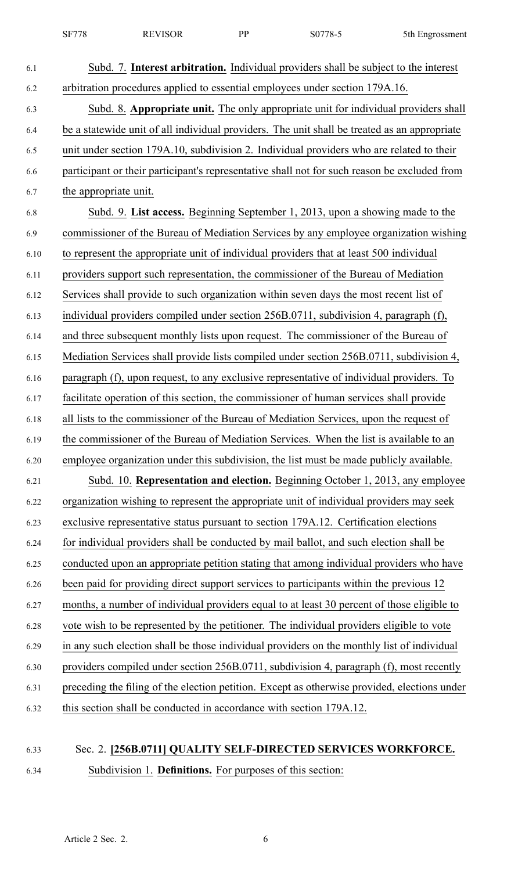| 6.1  | Subd. 7. Interest arbitration. Individual providers shall be subject to the interest         |
|------|----------------------------------------------------------------------------------------------|
| 6.2  | arbitration procedures applied to essential employees under section 179A.16.                 |
| 6.3  | Subd. 8. Appropriate unit. The only appropriate unit for individual providers shall          |
| 6.4  | be a statewide unit of all individual providers. The unit shall be treated as an appropriate |
| 6.5  | unit under section 179A.10, subdivision 2. Individual providers who are related to their     |
| 6.6  | participant or their participant's representative shall not for such reason be excluded from |
| 6.7  | the appropriate unit.                                                                        |
| 6.8  | Subd. 9. List access. Beginning September 1, 2013, upon a showing made to the                |
| 6.9  | commissioner of the Bureau of Mediation Services by any employee organization wishing        |
| 6.10 | to represent the appropriate unit of individual providers that at least 500 individual       |
| 6.11 | providers support such representation, the commissioner of the Bureau of Mediation           |
| 6.12 | Services shall provide to such organization within seven days the most recent list of        |
| 6.13 | individual providers compiled under section 256B.0711, subdivision 4, paragraph (f),         |
| 6.14 | and three subsequent monthly lists upon request. The commissioner of the Bureau of           |
| 6.15 | Mediation Services shall provide lists compiled under section 256B.0711, subdivision 4,      |
| 6.16 | paragraph (f), upon request, to any exclusive representative of individual providers. To     |
| 6.17 | facilitate operation of this section, the commissioner of human services shall provide       |
| 6.18 | all lists to the commissioner of the Bureau of Mediation Services, upon the request of       |
| 6.19 | the commissioner of the Bureau of Mediation Services. When the list is available to an       |
| 6.20 | employee organization under this subdivision, the list must be made publicly available.      |
| 6.21 | Subd. 10. Representation and election. Beginning October 1, 2013, any employee               |
| 6.22 | organization wishing to represent the appropriate unit of individual providers may seek      |
| 6.23 | exclusive representative status pursuant to section 179A.12. Certification elections         |
| 6.24 | for individual providers shall be conducted by mail ballot, and such election shall be       |
| 6.25 | conducted upon an appropriate petition stating that among individual providers who have      |
| 6.26 | been paid for providing direct support services to participants within the previous 12       |
| 6.27 | months, a number of individual providers equal to at least 30 percent of those eligible to   |
| 6.28 | vote wish to be represented by the petitioner. The individual providers eligible to vote     |
| 6.29 | in any such election shall be those individual providers on the monthly list of individual   |
| 6.30 | providers compiled under section 256B.0711, subdivision 4, paragraph (f), most recently      |
| 6.31 | preceding the filing of the election petition. Except as otherwise provided, elections under |
| 6.32 | this section shall be conducted in accordance with section 179A.12.                          |
|      |                                                                                              |

## 6.33 Sec. 2. **[256B.0711] QUALITY SELF-DIRECTED SERVICES WORKFORCE.** 6.34 Subdivision 1. **Definitions.** For purposes of this section: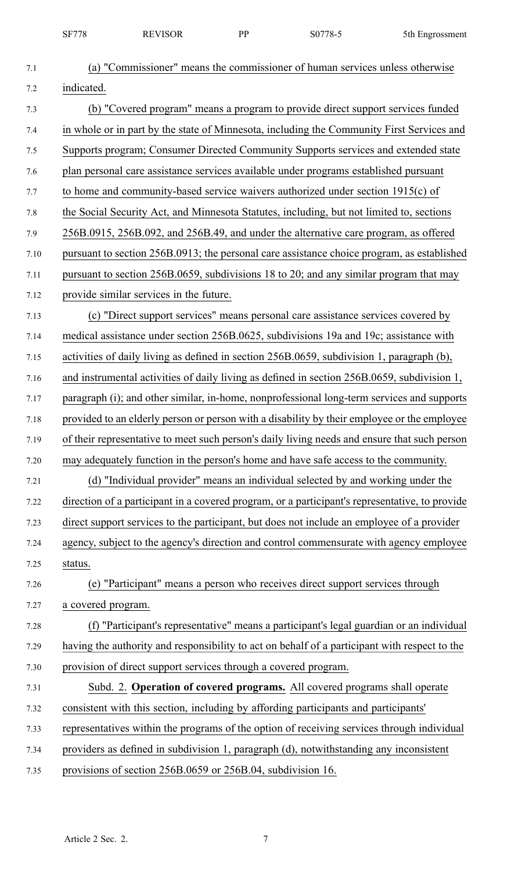|      | <b>SF778</b>       | <b>REVISOR</b>                                                  | <b>PP</b> | S0778-5                                                                                       | 5th Engrossment                                                                                |
|------|--------------------|-----------------------------------------------------------------|-----------|-----------------------------------------------------------------------------------------------|------------------------------------------------------------------------------------------------|
| 7.1  |                    |                                                                 |           | (a) "Commissioner" means the commissioner of human services unless otherwise                  |                                                                                                |
| 7.2  | indicated.         |                                                                 |           |                                                                                               |                                                                                                |
| 7.3  |                    |                                                                 |           | (b) "Covered program" means a program to provide direct support services funded               |                                                                                                |
| 7.4  |                    |                                                                 |           |                                                                                               | in whole or in part by the state of Minnesota, including the Community First Services and      |
| 7.5  |                    |                                                                 |           | Supports program; Consumer Directed Community Supports services and extended state            |                                                                                                |
| 7.6  |                    |                                                                 |           | plan personal care assistance services available under programs established pursuant          |                                                                                                |
| 7.7  |                    |                                                                 |           | to home and community-based service waivers authorized under section 1915(c) of               |                                                                                                |
| 7.8  |                    |                                                                 |           | the Social Security Act, and Minnesota Statutes, including, but not limited to, sections      |                                                                                                |
| 7.9  |                    |                                                                 |           | 256B.0915, 256B.092, and 256B.49, and under the alternative care program, as offered          |                                                                                                |
| 7.10 |                    |                                                                 |           |                                                                                               | pursuant to section 256B.0913; the personal care assistance choice program, as established     |
| 7.11 |                    |                                                                 |           | pursuant to section 256B.0659, subdivisions 18 to 20; and any similar program that may        |                                                                                                |
| 7.12 |                    | provide similar services in the future.                         |           |                                                                                               |                                                                                                |
| 7.13 |                    |                                                                 |           | (c) "Direct support services" means personal care assistance services covered by              |                                                                                                |
| 7.14 |                    |                                                                 |           | medical assistance under section 256B.0625, subdivisions 19a and 19c; assistance with         |                                                                                                |
| 7.15 |                    |                                                                 |           | activities of daily living as defined in section 256B.0659, subdivision 1, paragraph (b),     |                                                                                                |
| 7.16 |                    |                                                                 |           | and instrumental activities of daily living as defined in section 256B.0659, subdivision 1,   |                                                                                                |
| 7.17 |                    |                                                                 |           |                                                                                               | paragraph (i); and other similar, in-home, nonprofessional long-term services and supports     |
| 7.18 |                    |                                                                 |           |                                                                                               | provided to an elderly person or person with a disability by their employee or the employee    |
| 7.19 |                    |                                                                 |           |                                                                                               | of their representative to meet such person's daily living needs and ensure that such person   |
| 7.20 |                    |                                                                 |           | may adequately function in the person's home and have safe access to the community.           |                                                                                                |
| 7.21 |                    |                                                                 |           | (d) "Individual provider" means an individual selected by and working under the               |                                                                                                |
| 7.22 |                    |                                                                 |           |                                                                                               | direction of a participant in a covered program, or a participant's representative, to provide |
| 7.23 |                    |                                                                 |           | direct support services to the participant, but does not include an employee of a provider    |                                                                                                |
| 7.24 |                    |                                                                 |           |                                                                                               | agency, subject to the agency's direction and control commensurate with agency employee        |
| 7.25 | status.            |                                                                 |           |                                                                                               |                                                                                                |
| 7.26 |                    |                                                                 |           | (e) "Participant" means a person who receives direct support services through                 |                                                                                                |
| 7.27 | a covered program. |                                                                 |           |                                                                                               |                                                                                                |
| 7.28 |                    |                                                                 |           |                                                                                               | (f) "Participant's representative" means a participant's legal guardian or an individual       |
| 7.29 |                    |                                                                 |           | having the authority and responsibility to act on behalf of a participant with respect to the |                                                                                                |
| 7.30 |                    | provision of direct support services through a covered program. |           |                                                                                               |                                                                                                |
| 7.31 |                    |                                                                 |           | Subd. 2. Operation of covered programs. All covered programs shall operate                    |                                                                                                |
| 7.32 |                    |                                                                 |           | consistent with this section, including by affording participants and participants'           |                                                                                                |
| 7.33 |                    |                                                                 |           | representatives within the programs of the option of receiving services through individual    |                                                                                                |
| 7.34 |                    |                                                                 |           | providers as defined in subdivision 1, paragraph (d), notwithstanding any inconsistent        |                                                                                                |
| 7.35 |                    | provisions of section 256B.0659 or 256B.04, subdivision 16.     |           |                                                                                               |                                                                                                |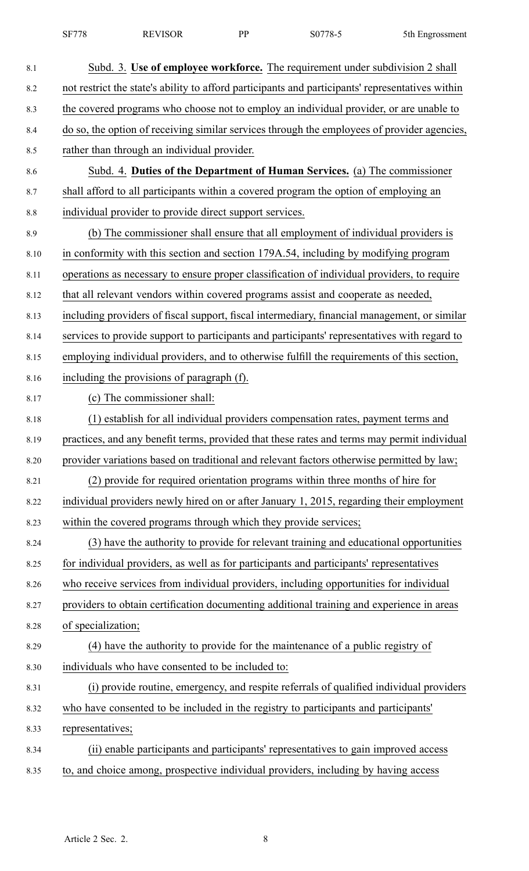| <b>SF778</b> | <b>REVISOR</b> | DD | S0778-5 | 5th Engrossment |
|--------------|----------------|----|---------|-----------------|
|--------------|----------------|----|---------|-----------------|

| 8.1  | Subd. 3. Use of employee workforce. The requirement under subdivision 2 shall                    |
|------|--------------------------------------------------------------------------------------------------|
| 8.2  | not restrict the state's ability to afford participants and participants' representatives within |
| 8.3  | the covered programs who choose not to employ an individual provider, or are unable to           |
| 8.4  | do so, the option of receiving similar services through the employees of provider agencies,      |
| 8.5  | rather than through an individual provider.                                                      |
| 8.6  | Subd. 4. Duties of the Department of Human Services. (a) The commissioner                        |
| 8.7  | shall afford to all participants within a covered program the option of employing an             |
| 8.8  | individual provider to provide direct support services.                                          |
| 8.9  | (b) The commissioner shall ensure that all employment of individual providers is                 |
| 8.10 | in conformity with this section and section 179A.54, including by modifying program              |
| 8.11 | operations as necessary to ensure proper classification of individual providers, to require      |
| 8.12 | that all relevant vendors within covered programs assist and cooperate as needed,                |
| 8.13 | including providers of fiscal support, fiscal intermediary, financial management, or similar     |
| 8.14 | services to provide support to participants and participants' representatives with regard to     |
| 8.15 | employing individual providers, and to otherwise fulfill the requirements of this section,       |
| 8.16 | including the provisions of paragraph (f).                                                       |
| 8.17 | (c) The commissioner shall:                                                                      |
| 8.18 | (1) establish for all individual providers compensation rates, payment terms and                 |
| 8.19 | practices, and any benefit terms, provided that these rates and terms may permit individual      |
| 8.20 | provider variations based on traditional and relevant factors otherwise permitted by law;        |
| 8.21 | (2) provide for required orientation programs within three months of hire for                    |
| 8.22 | individual providers newly hired on or after January 1, 2015, regarding their employment         |
| 8.23 | within the covered programs through which they provide services;                                 |
| 8.24 | (3) have the authority to provide for relevant training and educational opportunities            |
| 8.25 | for individual providers, as well as for participants and participants' representatives          |
| 8.26 | who receive services from individual providers, including opportunities for individual           |
| 8.27 | providers to obtain certification documenting additional training and experience in areas        |
| 8.28 | of specialization;                                                                               |
| 8.29 | (4) have the authority to provide for the maintenance of a public registry of                    |
| 8.30 | individuals who have consented to be included to:                                                |
| 8.31 | (i) provide routine, emergency, and respite referrals of qualified individual providers          |
| 8.32 | who have consented to be included in the registry to participants and participants'              |
| 8.33 | representatives;                                                                                 |
| 8.34 | (ii) enable participants and participants' representatives to gain improved access               |
| 8.35 | to, and choice among, prospective individual providers, including by having access               |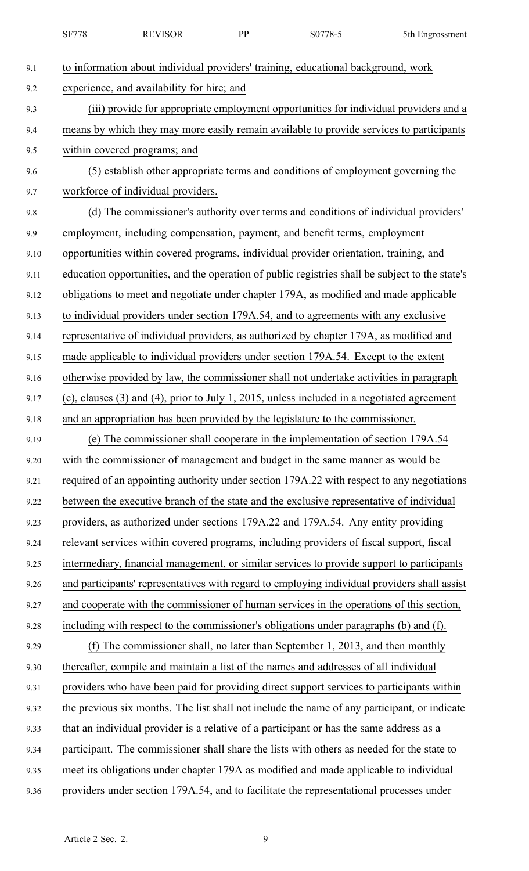|      | <b>SF778</b> | <b>REVISOR</b>                             | PP | S0778-5                                                                                         | 5th Engrossment |
|------|--------------|--------------------------------------------|----|-------------------------------------------------------------------------------------------------|-----------------|
| 9.1  |              |                                            |    | to information about individual providers' training, educational background, work               |                 |
| 9.2  |              | experience, and availability for hire; and |    |                                                                                                 |                 |
| 9.3  |              |                                            |    | (iii) provide for appropriate employment opportunities for individual providers and a           |                 |
| 9.4  |              |                                            |    | means by which they may more easily remain available to provide services to participants        |                 |
| 9.5  |              | within covered programs; and               |    |                                                                                                 |                 |
| 9.6  |              |                                            |    | (5) establish other appropriate terms and conditions of employment governing the                |                 |
| 9.7  |              | workforce of individual providers.         |    |                                                                                                 |                 |
| 9.8  |              |                                            |    | (d) The commissioner's authority over terms and conditions of individual providers'             |                 |
| 9.9  |              |                                            |    | employment, including compensation, payment, and benefit terms, employment                      |                 |
| 9.10 |              |                                            |    | opportunities within covered programs, individual provider orientation, training, and           |                 |
| 9.11 |              |                                            |    | education opportunities, and the operation of public registries shall be subject to the state's |                 |
| 9.12 |              |                                            |    | obligations to meet and negotiate under chapter 179A, as modified and made applicable           |                 |
| 9.13 |              |                                            |    | to individual providers under section 179A.54, and to agreements with any exclusive             |                 |
| 9.14 |              |                                            |    | representative of individual providers, as authorized by chapter 179A, as modified and          |                 |
| 9.15 |              |                                            |    | made applicable to individual providers under section 179A.54. Except to the extent             |                 |
| 9.16 |              |                                            |    | otherwise provided by law, the commissioner shall not undertake activities in paragraph         |                 |
| 9.17 |              |                                            |    | $(c)$ , clauses (3) and (4), prior to July 1, 2015, unless included in a negotiated agreement   |                 |
| 9.18 |              |                                            |    | and an appropriation has been provided by the legislature to the commissioner.                  |                 |
| 9.19 |              |                                            |    | (e) The commissioner shall cooperate in the implementation of section 179A.54                   |                 |
| 9.20 |              |                                            |    | with the commissioner of management and budget in the same manner as would be                   |                 |
| 9.21 |              |                                            |    | required of an appointing authority under section 179A.22 with respect to any negotiations      |                 |
| 9.22 |              |                                            |    | between the executive branch of the state and the exclusive representative of individual        |                 |
| 9.23 |              |                                            |    | providers, as authorized under sections 179A.22 and 179A.54. Any entity providing               |                 |
| 9.24 |              |                                            |    | relevant services within covered programs, including providers of fiscal support, fiscal        |                 |
| 9.25 |              |                                            |    | intermediary, financial management, or similar services to provide support to participants      |                 |
| 9.26 |              |                                            |    | and participants' representatives with regard to employing individual providers shall assist    |                 |
| 9.27 |              |                                            |    | and cooperate with the commissioner of human services in the operations of this section,        |                 |
| 9.28 |              |                                            |    | including with respect to the commissioner's obligations under paragraphs (b) and (f).          |                 |
| 9.29 |              |                                            |    | (f) The commissioner shall, no later than September 1, 2013, and then monthly                   |                 |
| 9.30 |              |                                            |    | thereafter, compile and maintain a list of the names and addresses of all individual            |                 |
| 9.31 |              |                                            |    | providers who have been paid for providing direct support services to participants within       |                 |
| 9.32 |              |                                            |    | the previous six months. The list shall not include the name of any participant, or indicate    |                 |
| 9.33 |              |                                            |    | that an individual provider is a relative of a participant or has the same address as a         |                 |
| 9.34 |              |                                            |    | participant. The commissioner shall share the lists with others as needed for the state to      |                 |
| 9.35 |              |                                            |    | meet its obligations under chapter 179A as modified and made applicable to individual           |                 |
| 9.36 |              |                                            |    | providers under section 179A.54, and to facilitate the representational processes under         |                 |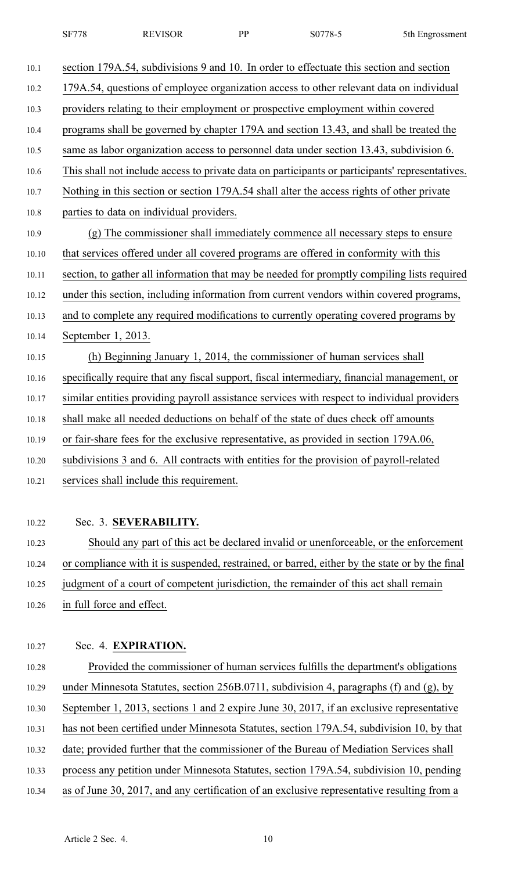| 10.1  | section 179A.54, subdivisions 9 and 10. In order to effectuate this section and section         |
|-------|-------------------------------------------------------------------------------------------------|
| 10.2  | 179A.54, questions of employee organization access to other relevant data on individual         |
| 10.3  | providers relating to their employment or prospective employment within covered                 |
| 10.4  | programs shall be governed by chapter 179A and section 13.43, and shall be treated the          |
| 10.5  | same as labor organization access to personnel data under section 13.43, subdivision 6.         |
| 10.6  | This shall not include access to private data on participants or participants' representatives. |
| 10.7  | Nothing in this section or section 179A.54 shall alter the access rights of other private       |
| 10.8  | parties to data on individual providers.                                                        |
| 10.9  | (g) The commissioner shall immediately commence all necessary steps to ensure                   |
| 10.10 | that services offered under all covered programs are offered in conformity with this            |
| 10.11 | section, to gather all information that may be needed for promptly compiling lists required     |
| 10.12 | under this section, including information from current vendors within covered programs,         |
| 10.13 | and to complete any required modifications to currently operating covered programs by           |
| 10.14 | September 1, 2013.                                                                              |
| 10.15 | (h) Beginning January 1, 2014, the commissioner of human services shall                         |
| 10.16 | specifically require that any fiscal support, fiscal intermediary, financial management, or     |
| 10.17 | similar entities providing payroll assistance services with respect to individual providers     |
| 10.18 | shall make all needed deductions on behalf of the state of dues check off amounts               |
| 10.19 | or fair-share fees for the exclusive representative, as provided in section 179A.06,            |
| 10.20 | subdivisions 3 and 6. All contracts with entities for the provision of payroll-related          |
| 10.21 | services shall include this requirement.                                                        |
|       |                                                                                                 |
| 10.22 | Sec. 3. SEVERABILITY.                                                                           |
|       |                                                                                                 |

10.23 Should any par<sup>t</sup> of this act be declared invalid or unenforceable, or the enforcement 10.24 or compliance with it is suspended, restrained, or barred, either by the state or by the final 10.25 judgment of <sup>a</sup> court of competent jurisdiction, the remainder of this act shall remain 10.26 in full force and effect.

## 10.27 Sec. 4. **EXPIRATION.**

10.28 Provided the commissioner of human services fulfills the department's obligations 10.29 under Minnesota Statutes, section 256B.0711, subdivision 4, paragraphs (f) and (g), by 10.30 September 1, 2013, sections 1 and 2 expire June 30, 2017, if an exclusive representative 10.31 has not been certified under Minnesota Statutes, section 179A.54, subdivision 10, by that 10.32 date; provided further that the commissioner of the Bureau of Mediation Services shall 10.33 process any petition under Minnesota Statutes, section 179A.54, subdivision 10, pending 10.34 as of June 30, 2017, and any certification of an exclusive representative resulting from <sup>a</sup>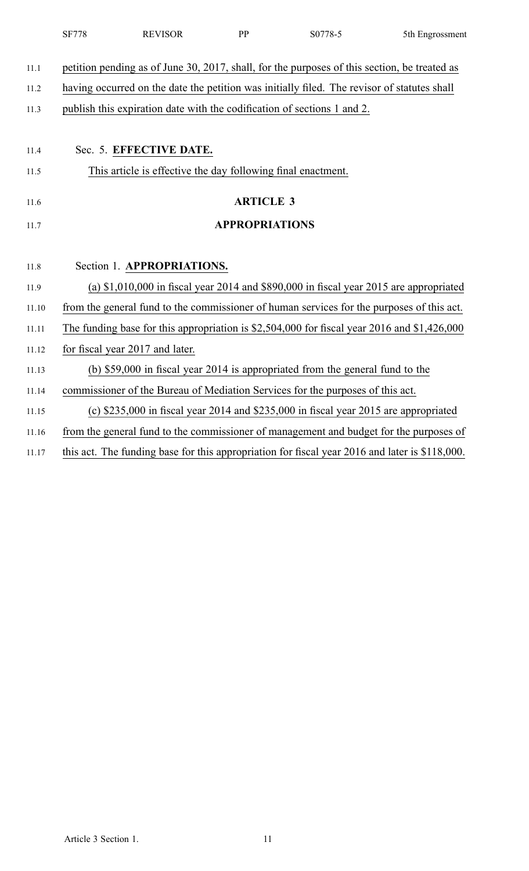|       | SF778<br><b>REVISOR</b>                                                                        | <b>PP</b>             | S0778-5                                                                                  | 5th Engrossment |
|-------|------------------------------------------------------------------------------------------------|-----------------------|------------------------------------------------------------------------------------------|-----------------|
| 11.1  | petition pending as of June 30, 2017, shall, for the purposes of this section, be treated as   |                       |                                                                                          |                 |
| 11.2  | having occurred on the date the petition was initially filed. The revisor of statutes shall    |                       |                                                                                          |                 |
| 11.3  | publish this expiration date with the codification of sections 1 and 2.                        |                       |                                                                                          |                 |
|       |                                                                                                |                       |                                                                                          |                 |
| 11.4  | Sec. 5. EFFECTIVE DATE.                                                                        |                       |                                                                                          |                 |
| 11.5  | This article is effective the day following final enactment.                                   |                       |                                                                                          |                 |
| 11.6  |                                                                                                | <b>ARTICLE 3</b>      |                                                                                          |                 |
| 11.7  |                                                                                                | <b>APPROPRIATIONS</b> |                                                                                          |                 |
|       |                                                                                                |                       |                                                                                          |                 |
| 11.8  | Section 1. APPROPRIATIONS.                                                                     |                       |                                                                                          |                 |
| 11.9  |                                                                                                |                       | (a) $$1,010,000$ in fiscal year 2014 and $$890,000$ in fiscal year 2015 are appropriated |                 |
| 11.10 | from the general fund to the commissioner of human services for the purposes of this act.      |                       |                                                                                          |                 |
| 11.11 | The funding base for this appropriation is $$2,504,000$ for fiscal year 2016 and $$1,426,000$  |                       |                                                                                          |                 |
| 11.12 | for fiscal year 2017 and later.                                                                |                       |                                                                                          |                 |
| 11.13 |                                                                                                |                       | (b) \$59,000 in fiscal year 2014 is appropriated from the general fund to the            |                 |
| 11.14 | commissioner of the Bureau of Mediation Services for the purposes of this act.                 |                       |                                                                                          |                 |
| 11.15 |                                                                                                |                       | (c) $$235,000$ in fiscal year 2014 and $$235,000$ in fiscal year 2015 are appropriated   |                 |
| 11.16 | from the general fund to the commissioner of management and budget for the purposes of         |                       |                                                                                          |                 |
| 11.17 | this act. The funding base for this appropriation for fiscal year 2016 and later is \$118,000. |                       |                                                                                          |                 |